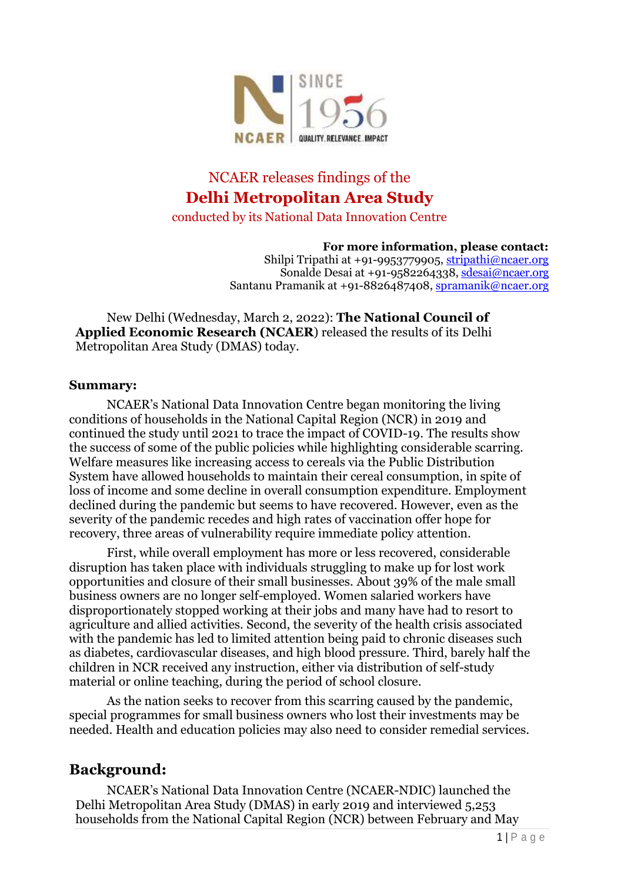

# NCAER releases findings of the **Delhi Metropolitan Area Study**

conducted by its National Data Innovation Centre

**For more information, please contact:**

Shilpi Tripathi at +91-9953779905, [stripathi@ncaer.org](mailto:stripathi@ncaer.org) Sonalde Desai at +91-9582264338, [sdesai@ncaer.org](mailto:sdesai@ncaer.org) Santanu Pramanik at +91-8826487408, [spramanik@ncaer.org](mailto:spramanik@ncaer.org)

New Delhi (Wednesday, March 2, 2022): **The National Council of Applied Economic Research (NCAER**) released the results of its Delhi Metropolitan Area Study (DMAS) today.

#### **Summary:**

NCAER's National Data Innovation Centre began monitoring the living conditions of households in the National Capital Region (NCR) in 2019 and continued the study until 2021 to trace the impact of COVID-19. The results show the success of some of the public policies while highlighting considerable scarring. Welfare measures like increasing access to cereals via the Public Distribution System have allowed households to maintain their cereal consumption, in spite of loss of income and some decline in overall consumption expenditure. Employment declined during the pandemic but seems to have recovered. However, even as the severity of the pandemic recedes and high rates of vaccination offer hope for recovery, three areas of vulnerability require immediate policy attention.

First, while overall employment has more or less recovered, considerable disruption has taken place with individuals struggling to make up for lost work opportunities and closure of their small businesses. About 39% of the male small business owners are no longer self-employed. Women salaried workers have disproportionately stopped working at their jobs and many have had to resort to agriculture and allied activities. Second, the severity of the health crisis associated with the pandemic has led to limited attention being paid to chronic diseases such as diabetes, cardiovascular diseases, and high blood pressure. Third, barely half the children in NCR received any instruction, either via distribution of self-study material or online teaching, during the period of school closure.

As the nation seeks to recover from this scarring caused by the pandemic, special programmes for small business owners who lost their investments may be needed. Health and education policies may also need to consider remedial services.

#### **Background:**

NCAER's National Data Innovation Centre (NCAER-NDIC) launched the Delhi Metropolitan Area Study (DMAS) in early 2019 and interviewed 5,253 households from the National Capital Region (NCR) between February and May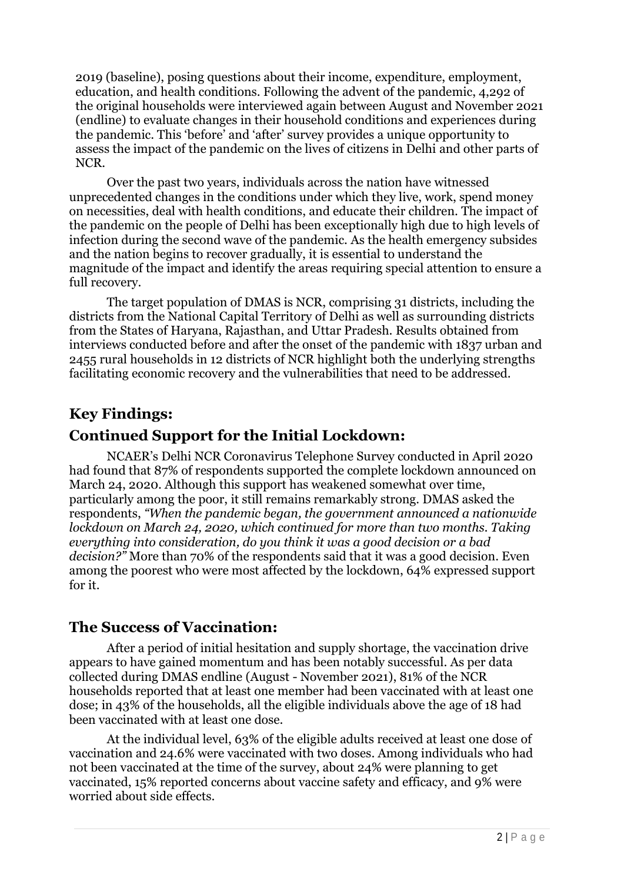2019 (baseline), posing questions about their income, expenditure, employment, education, and health conditions. Following the advent of the pandemic, 4,292 of the original households were interviewed again between August and November 2021 (endline) to evaluate changes in their household conditions and experiences during the pandemic. This 'before' and 'after' survey provides a unique opportunity to assess the impact of the pandemic on the lives of citizens in Delhi and other parts of NCR.

Over the past two years, individuals across the nation have witnessed unprecedented changes in the conditions under which they live, work, spend money on necessities, deal with health conditions, and educate their children. The impact of the pandemic on the people of Delhi has been exceptionally high due to high levels of infection during the second wave of the pandemic. As the health emergency subsides and the nation begins to recover gradually, it is essential to understand the magnitude of the impact and identify the areas requiring special attention to ensure a full recovery.

The target population of DMAS is NCR, comprising 31 districts, including the districts from the National Capital Territory of Delhi as well as surrounding districts from the States of Haryana, Rajasthan, and Uttar Pradesh. Results obtained from interviews conducted before and after the onset of the pandemic with 1837 urban and 2455 rural households in 12 districts of NCR highlight both the underlying strengths facilitating economic recovery and the vulnerabilities that need to be addressed.

### **Key Findings:**

# **Continued Support for the Initial Lockdown:**

NCAER's Delhi NCR Coronavirus Telephone Survey conducted in April 2020 had found that 87% of respondents supported the complete lockdown announced on March 24, 2020. Although this support has weakened somewhat over time, particularly among the poor, it still remains remarkably strong. DMAS asked the respondents, *"When the pandemic began, the government announced a nationwide lockdown on March 24, 2020, which continued for more than two months. Taking everything into consideration, do you think it was a good decision or a bad decision?"* More than 70% of the respondents said that it was a good decision. Even among the poorest who were most affected by the lockdown, 64% expressed support for it.

#### **The Success of Vaccination:**

After a period of initial hesitation and supply shortage, the vaccination drive appears to have gained momentum and has been notably successful. As per data collected during DMAS endline (August - November 2021), 81% of the NCR households reported that at least one member had been vaccinated with at least one dose; in 43% of the households, all the eligible individuals above the age of 18 had been vaccinated with at least one dose.

At the individual level, 63% of the eligible adults received at least one dose of vaccination and 24.6% were vaccinated with two doses. Among individuals who had not been vaccinated at the time of the survey, about 24% were planning to get vaccinated, 15% reported concerns about vaccine safety and efficacy, and 9% were worried about side effects.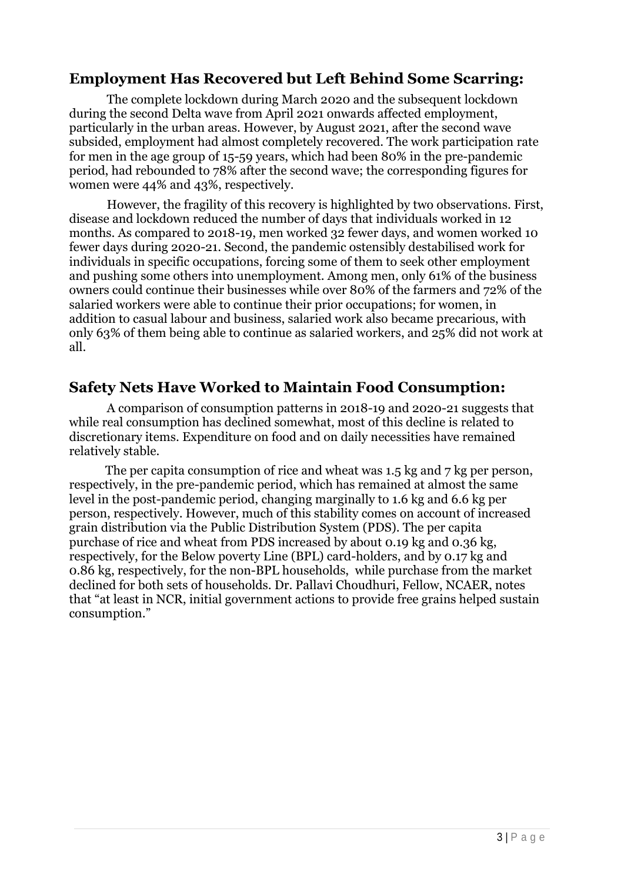### **Employment Has Recovered but Left Behind Some Scarring:**

The complete lockdown during March 2020 and the subsequent lockdown during the second Delta wave from April 2021 onwards affected employment, particularly in the urban areas. However, by August 2021, after the second wave subsided, employment had almost completely recovered. The work participation rate for men in the age group of 15-59 years, which had been 80% in the pre-pandemic period, had rebounded to 78% after the second wave; the corresponding figures for women were 44% and 43%, respectively.

However, the fragility of this recovery is highlighted by two observations. First, disease and lockdown reduced the number of days that individuals worked in 12 months. As compared to 2018-19, men worked 32 fewer days, and women worked 10 fewer days during 2020-21. Second, the pandemic ostensibly destabilised work for individuals in specific occupations, forcing some of them to seek other employment and pushing some others into unemployment. Among men, only 61% of the business owners could continue their businesses while over 80% of the farmers and 72% of the salaried workers were able to continue their prior occupations; for women, in addition to casual labour and business, salaried work also became precarious, with only 63% of them being able to continue as salaried workers, and 25% did not work at all.

#### **Safety Nets Have Worked to Maintain Food Consumption:**

A comparison of consumption patterns in 2018-19 and 2020-21 suggests that while real consumption has declined somewhat, most of this decline is related to discretionary items. Expenditure on food and on daily necessities have remained relatively stable.

 The per capita consumption of rice and wheat was 1.5 kg and 7 kg per person, respectively, in the pre-pandemic period, which has remained at almost the same level in the post-pandemic period, changing marginally to 1.6 kg and 6.6 kg per person, respectively. However, much of this stability comes on account of increased grain distribution via the Public Distribution System (PDS). The per capita purchase of rice and wheat from PDS increased by about 0.19 kg and 0.36 kg, respectively, for the Below poverty Line (BPL) card-holders, and by 0.17 kg and 0.86 kg, respectively, for the non-BPL households, while purchase from the market declined for both sets of households. Dr. Pallavi Choudhuri, Fellow, NCAER, notes that "at least in NCR, initial government actions to provide free grains helped sustain consumption."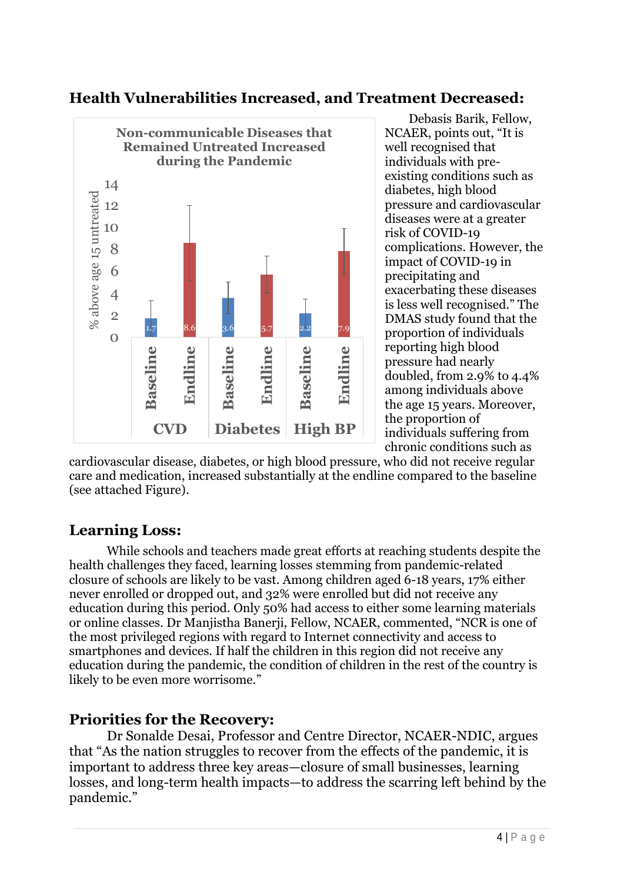

# **Health Vulnerabilities Increased, and Treatment Decreased:**

Debasis Barik, Fellow, NCAER, points out, "It is well recognised that individuals with preexisting conditions such as diabetes, high blood pressure and cardiovascular diseases were at a greater risk of COVID-19 complications. However, the impact of COVID-19 in precipitating and exacerbating these diseases is less well recognised." The DMAS study found that the proportion of individuals reporting high blood pressure had nearly doubled, from 2.9% to 4.4% among individuals above the age 15 years. Moreover, the proportion of individuals suffering from chronic conditions such as

cardiovascular disease, diabetes, or high blood pressure, who did not receive regular care and medication, increased substantially at the endline compared to the baseline (see attached Figure).

# **Learning Loss:**

While schools and teachers made great efforts at reaching students despite the health challenges they faced, learning losses stemming from pandemic-related closure of schools are likely to be vast. Among children aged 6-18 years, 17% either never enrolled or dropped out, and 32% were enrolled but did not receive any education during this period. Only 50% had access to either some learning materials or online classes. Dr Manjistha Banerji, Fellow, NCAER, commented, "NCR is one of the most privileged regions with regard to Internet connectivity and access to smartphones and devices. If half the children in this region did not receive any education during the pandemic, the condition of children in the rest of the country is likely to be even more worrisome."

#### **Priorities for the Recovery:**

Dr Sonalde Desai, Professor and Centre Director, NCAER-NDIC, argues that "As the nation struggles to recover from the effects of the pandemic, it is important to address three key areas—closure of small businesses, learning losses, and long-term health impacts—to address the scarring left behind by the pandemic."